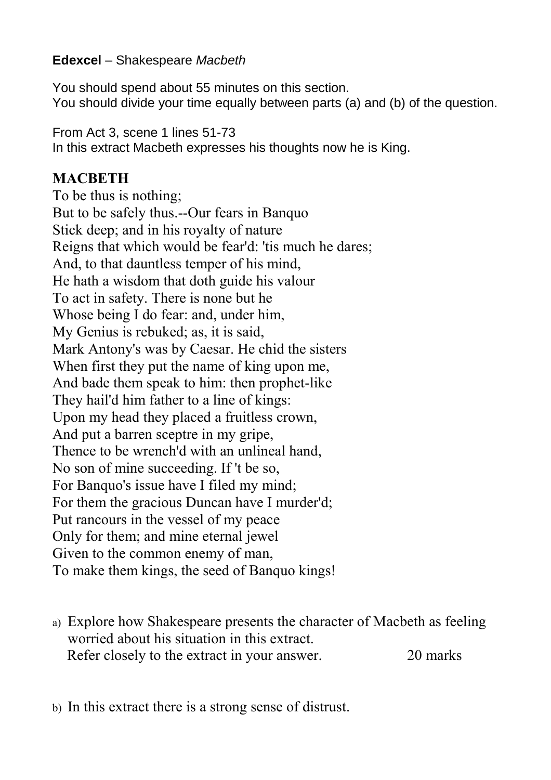## **Edexcel** – Shakespeare *Macbeth*

You should spend about 55 minutes on this section. You should divide your time equally between parts (a) and (b) of the question.

From Act 3, scene 1 lines 51-73

In this extract Macbeth expresses his thoughts now he is King.

## **MACBETH**

To be thus is nothing; But to be safely thus.--Our fears in Banquo Stick deep; and in his royalty of nature Reigns that which would be fear'd: 'tis much he dares; And, to that dauntless temper of his mind, He hath a wisdom that doth guide his valour To act in safety. There is none but he Whose being I do fear: and, under him, My Genius is rebuked; as, it is said, Mark Antony's was by Caesar. He chid the sisters When first they put the name of king upon me, And bade them speak to him: then prophet-like They hail'd him father to a line of kings: Upon my head they placed a fruitless crown, And put a barren sceptre in my gripe, Thence to be wrench'd with an unlineal hand, No son of mine succeeding. If 't be so, For Banquo's issue have I filed my mind; For them the gracious Duncan have I murder'd; Put rancours in the vessel of my peace Only for them; and mine eternal jewel Given to the common enemy of man, To make them kings, the seed of Banquo kings!

a) Explore how Shakespeare presents the character of Macbeth as feeling worried about his situation in this extract. Refer closely to the extract in your answer. 20 marks

b) In this extract there is a strong sense of distrust.